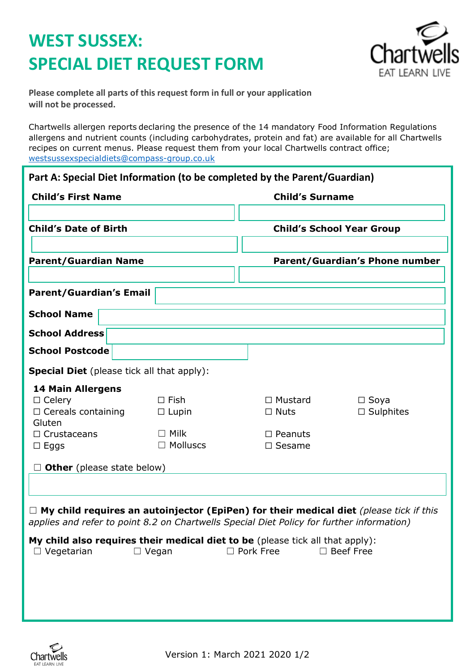## **WEST SUSSEX: SPECIAL DIET REQUEST FORM**



**Please complete all parts of this request form in full or your application will not be processed.**

Chartwells allergen reports declaring the presence of the 14 mandatory Food Information Regulations allergens and nutrient counts (including carbohydrates, protein and fat) are available for all Chartwells recipes on current menus. Please request them from your local Chartwells contract office; [westsussexspecialdiets@compass-group.co.uk](mailto:westsussexspecialdiets@compass-group.co.uk)

| Part A: Special Diet Information (to be completed by the Parent/Guardian)<br><b>Child's First Name</b><br><b>Child's Date of Birth</b>                                                     |                                | <b>Child's Surname</b><br><b>Child's School Year Group</b> |                                    |
|--------------------------------------------------------------------------------------------------------------------------------------------------------------------------------------------|--------------------------------|------------------------------------------------------------|------------------------------------|
|                                                                                                                                                                                            |                                |                                                            |                                    |
| <b>Parent/Guardian's Email</b>                                                                                                                                                             |                                |                                                            |                                    |
| <b>School Name</b>                                                                                                                                                                         |                                |                                                            |                                    |
| <b>School Address</b>                                                                                                                                                                      |                                |                                                            |                                    |
| <b>School Postcode</b>                                                                                                                                                                     |                                |                                                            |                                    |
| <b>Special Diet</b> (please tick all that apply):                                                                                                                                          |                                |                                                            |                                    |
| <b>14 Main Allergens</b><br>$\Box$ Celery<br>$\Box$ Cereals containing<br>Gluten                                                                                                           | $\Box$ Fish<br>$\Box$ Lupin    | $\Box$ Mustard<br>$\Box$ Nuts                              | $\Box$ Soya<br>$\square$ Sulphites |
| $\Box$ Crustaceans<br>$\Box$ Eggs                                                                                                                                                          | $\Box$ Milk<br>$\Box$ Molluscs | $\square$ Peanuts<br>$\Box$ Sesame                         |                                    |
| $\Box$ Other (please state below)                                                                                                                                                          |                                |                                                            |                                    |
| $\Box$ My child requires an autoinjector (EpiPen) for their medical diet (please tick if this<br>applies and refer to point 8.2 on Chartwells Special Diet Policy for further information) |                                |                                                            |                                    |
| My child also requires their medical diet to be (please tick all that apply):<br>$\Box$ Vegetarian                                                                                         | $\Box$ Vegan                   | $\Box$ Pork Free                                           | $\Box$ Beef Free                   |
|                                                                                                                                                                                            |                                |                                                            |                                    |
|                                                                                                                                                                                            |                                |                                                            |                                    |
|                                                                                                                                                                                            |                                |                                                            |                                    |